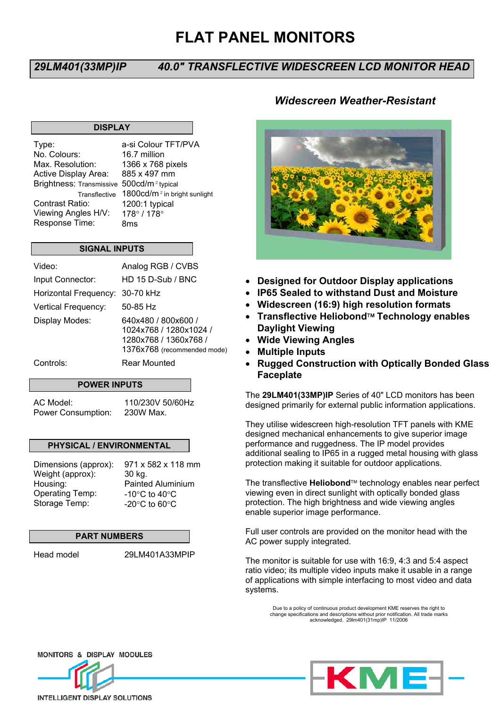# **FLAT PANEL MONITORS**

## *29LM401(33MP)IP 40.0" TRANSFLECTIVE WIDESCREEN LCD MONITOR HEAD*

## **DISPLAY**

Brightness: Transmissive 500cd/m<sup>2</sup> typical Type: No. Colours: Max. Resolution: Active Display Area: Contrast Ratio: Viewing Angles H/V: Response Time:

a-si Colour TFT/PVA 16.7 million 1366 x 768 pixels 885 x 497 mm Transflective  $-1800$ cd/m<sup>2</sup> in bright sunlight 1200:1 typical 178° / 178° 8ms

## **SIGNAL INPUTS**

| Video:                | Analog RGB / CVBS                                                                                     |
|-----------------------|-------------------------------------------------------------------------------------------------------|
| Input Connector:      | HD 15 D-Sub / BNC                                                                                     |
| Horizontal Frequency: | 30-70 kHz                                                                                             |
| Vertical Frequency:   | $50-85$ Hz                                                                                            |
| Display Modes:        | 640x480 / 800x600 /<br>1024x768 / 1280x1024 /<br>1280x768 / 1360x768 /<br>1376x768 (recommended mode) |
| Controls:             | Rear Mounted                                                                                          |

#### **POWER INPUTS**

AC Model: Power Consumption:

110/230V 50/60Hz 230W Max.

#### **PHYSICAL / ENVIRONMENTAL**

| Dimensions (approx): | 971 x 582 x 118 mm                |
|----------------------|-----------------------------------|
| Weight (approx):     | 30 kg.                            |
| Housing:             | <b>Painted Aluminium</b>          |
| Operating Temp:      | -10 $\degree$ C to 40 $\degree$ C |
| Storage Temp:        | -20 $\degree$ C to 60 $\degree$ C |
|                      |                                   |

#### **PART NUMBERS**

Head model 29LM401A33MPIP

## *Widescreen Weather-Resistant*



- **Designed for Outdoor Display applications**
- **IP65 Sealed to withstand Dust and Moisture**
- **Widescreen (16:9) high resolution formats**
- **Transflective Heliobond Technology enables Daylight Viewing**
- **Wide Viewing Angles**
- **Multiple Inputs**
- **Rugged Construction with Optically Bonded Glass Faceplate**

The **29LM401(33MP)IP** Series of 40" LCD monitors has been designed primarily for external public information applications.

They utilise widescreen high-resolution TFT panels with KME designed mechanical enhancements to give superior image performance and ruggedness. The IP model provides additional sealing to IP65 in a rugged metal housing with glass protection making it suitable for outdoor applications.

The transflective **Heliobond**™ technology enables near perfect viewing even in direct sunlight with optically bonded glass protection. The high brightness and wide viewing angles enable superior image performance.

Full user controls are provided on the monitor head with the AC power supply integrated.

The monitor is suitable for use with 16:9, 4:3 and 5:4 aspect ratio video; its multiple video inputs make it usable in a range of applications with simple interfacing to most video and data systems.

Due to a policy of continuous product development KME reserves the right to change specifications and descriptions without prior notification. All trade marks acknowledged. 29lm401(31mp)IP 11/2006